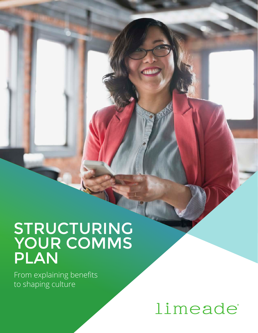# STRUCTURING YOUR COMMS PLAN

From explaining benefits to shaping culture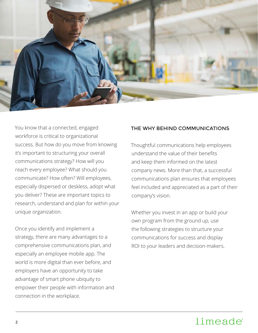

You know that a connected, engaged workforce is critical to organizational success. But how do you move from knowing it's important to structuring your overall communications strategy? How will you reach every employee? What should you communicate? How often? Will employees, especially dispersed or deskless, adopt what you deliver? These are important topics to research, understand and plan for within your unique organization.

Once you identify and implement a strategy, there are many advantages to a comprehensive communications plan, and especially an employee mobile app. The world is more digital than ever before, and employers have an opportunity to take advantage of smart phone ubiquity to empower their people with information and connection in the workplace.

#### THE WHY BEHIND COMMUNICATIONS

Thoughtful communications help employees understand the value of their benefits and keep them informed on the latest company news. More than that, a successful communications plan ensures that employees feel included and appreciated as a part of their company's vision.

Whether you invest in an app or build your own program from the ground up, use the following strategies to structure your communications for success and display ROI to your leaders and decision-makers.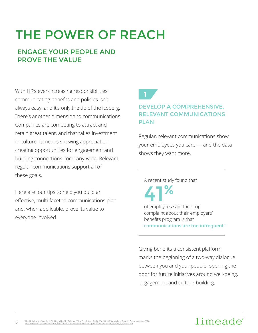# THE POWER OF REACH

## ENGAGE YOUR PEOPLE AND PROVE THE VALUE

With HR's ever-increasing responsibilities, communicating benefits and policies isn't always easy, and it's only the tip of the iceberg. There's another dimension to communications. Companies are competing to attract and retain great talent, and that takes investment in culture. It means showing appreciation, creating opportunities for engagement and building connections company-wide. Relevant, regular communications support all of these goals.

Here are four tips to help you build an effective, multi-faceted communications plan and, when applicable, prove its value to everyone involved.

# **1**

### DEVELOP A COMPREHENSIVE, RELEVANT COMMUNICATIONS PLAN

Regular, relevant communications show your employees you care — and the data shows they want more.

A recent study found that

of employees said their top complaint about their employers' benefits program is that **communications are too infrequent <sup>1</sup>** 41%

Giving benefits a consistent platform marks the beginning of a two-way dialogue between you and your people, opening the door for future initiatives around well-being, engagement and culture-building.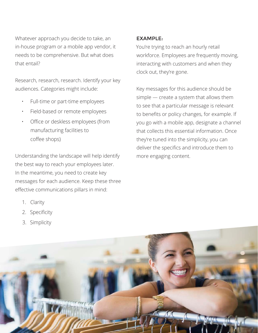Whatever approach you decide to take, an in-house program or a mobile app vendor, it needs to be comprehensive. But what does that entail?

Research, research, research. Identify your key audiences. Categories might include:

- Full-time or part-time employees
- Field-based or remote employees
- Office or deskless employees (from manufacturing facilities to coffee shops)

Understanding the landscape will help identify the best way to reach your employees later. In the meantime, you need to create key messages for each audience. Keep these three effective communications pillars in mind:

- 1. Clarity
- 2. Specificity
- 3. Simplicity

### EXAMPLE:

You're trying to reach an hourly retail workforce. Employees are frequently moving, interacting with customers and when they clock out, they're gone.

Key messages for this audience should be simple — create a system that allows them to see that a particular message is relevant to benefits or policy changes, for example. If you go with a mobile app, designate a channel that collects this essential information. Once they're tuned into the simplicity, you can deliver the specifics and introduce them to more engaging content.

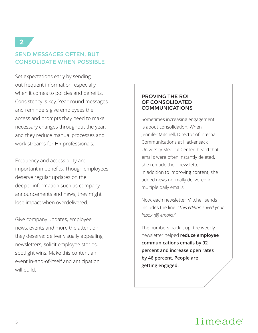## SEND MESSAGES OFTEN, BUT CONSOLIDATE WHEN POSSIBLE

Set expectations early by sending out frequent information, especially when it comes to policies and benefits. Consistency is key. Year-round messages and reminders give employees the access and prompts they need to make necessary changes throughout the year, and they reduce manual processes and work streams for HR professionals.

Frequency and accessibility are important in benefits. Though employees deserve regular updates on the deeper information such as company announcements and news, they might lose impact when overdelivered.

Give company updates, employee news, events and more the attention they deserve: deliver visually appealing newsletters, solicit employee stories, spotlight wins. Make this content an event in-and-of-itself and anticipation will build.

#### PROVING THE ROI OF CONSOLIDATED COMMUNICATIONS

Sometimes increasing engagement is about consolidation. When Jennifer Mitchell, Director of Internal Communications at Hackensack University Medical Center, heard that emails were often instantly deleted, she remade their newsletter. In addition to improving content, she added news normally delivered in multiple daily emails.

Now, each newsletter Mitchell sends includes the line: *"This edition saved your inbox (#) emails."* 

The numbers back it up: the weekly newsletter helped **reduce employee communications emails by 92 percent and increase open rates by 46 percent. People are getting engaged.**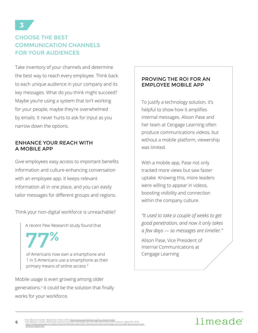## CHOOSE THE BEST COMMUNICATION CHANNELS FOR YOUR AUDIENCES

Take inventory of your channels and determine the best way to reach every employee. Think back to each unique audience in your company and its key messages. What do you think might succeed? Maybe you're using a system that isn't working for your people, maybe they're overwhelmed by emails. It never hurts to ask for input as you narrow down the options.

#### ENHANCE YOUR REACH WITH A MOBILE APP

Give employees easy access to important benefits information and culture-enhancing conversation with an employee app. It keeps relevant information all in one place, and you can easily tailor messages for different groups and regions.

Think your non-digital workforce is unreachable?

A recent Pew Research study found that

77%

**6**

of Americans now own a smartphone and 1 in 5 Americans use a smartphone as their primary means of online access<sup>2</sup>

Mobile usage is even growing among older generations.<sup>3</sup> It could be the solution that finally works for your workforce.

#### PROVING THE ROI FOR AN EMPLOYEE MOBILE APP

To justify a technology solution, it's helpful to show how it amplifies internal messages. Alison Pase and her team at Cengage Learning often produce communications videos, but without a mobile platform, viewership was limited.

With a mobile app, Pase not only tracked more views but saw faster uptake. Knowing this, more leaders were willing to appear in videos, boosting visibility and connection within the company culture.

*"It used to take a couple of weeks to get good penetration, and now it only takes a few days — so messages are timelier."* 

Alison Pase, Vice President of Internal Communications at Cengage Learning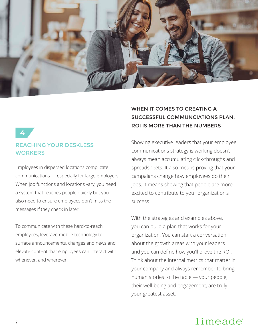

#### **4**

#### REACHING YOUR DESKLESS **WORKERS**

Employees in dispersed locations complicate communications — especially for large employers. When job functions and locations vary, you need a system that reaches people quickly but you also need to ensure employees don't miss the messages if they check in later.

To communicate with these hard-to-reach employees, leverage mobile technology to surface announcements, changes and news and elevate content that employees can interact with whenever, and wherever.

## WHEN IT COMES TO CREATING A SUCCESSFUL COMMUNCIATIONS PLAN, ROI IS MORE THAN THE NUMBERS

Showing executive leaders that your employee communications strategy is working doesn't always mean accumulating click-throughs and spreadsheets. It also means proving that your campaigns change how employees do their jobs. It means showing that people are more excited to contribute to your organization's success.

With the strategies and examples above, you can build a plan that works for your organization. You can start a conversation about the growth areas with your leaders and you can define how you'll prove the ROI. Think about the internal metrics that matter in your company and always remember to bring human stories to the table — your people, their well-being and engagement, are truly your greatest asset.